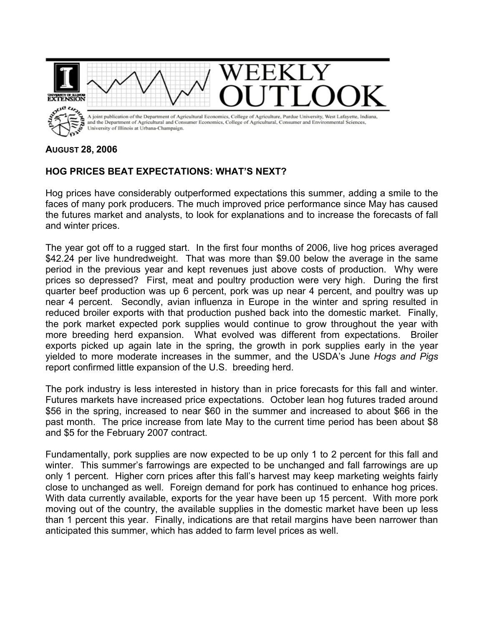

## **AUGUST 28, 2006**

## **HOG PRICES BEAT EXPECTATIONS: WHAT'S NEXT?**

Hog prices have considerably outperformed expectations this summer, adding a smile to the faces of many pork producers. The much improved price performance since May has caused the futures market and analysts, to look for explanations and to increase the forecasts of fall and winter prices.

The year got off to a rugged start. In the first four months of 2006, live hog prices averaged \$42.24 per live hundredweight. That was more than \$9.00 below the average in the same period in the previous year and kept revenues just above costs of production. Why were prices so depressed? First, meat and poultry production were very high. During the first quarter beef production was up 6 percent, pork was up near 4 percent, and poultry was up near 4 percent. Secondly, avian influenza in Europe in the winter and spring resulted in reduced broiler exports with that production pushed back into the domestic market. Finally, the pork market expected pork supplies would continue to grow throughout the year with more breeding herd expansion. What evolved was different from expectations. Broiler exports picked up again late in the spring, the growth in pork supplies early in the year yielded to more moderate increases in the summer, and the USDA's June *Hogs and Pigs* report confirmed little expansion of the U.S. breeding herd.

The pork industry is less interested in history than in price forecasts for this fall and winter. Futures markets have increased price expectations. October lean hog futures traded around \$56 in the spring, increased to near \$60 in the summer and increased to about \$66 in the past month. The price increase from late May to the current time period has been about \$8 and \$5 for the February 2007 contract.

Fundamentally, pork supplies are now expected to be up only 1 to 2 percent for this fall and winter. This summer's farrowings are expected to be unchanged and fall farrowings are up only 1 percent. Higher corn prices after this fall's harvest may keep marketing weights fairly close to unchanged as well. Foreign demand for pork has continued to enhance hog prices. With data currently available, exports for the year have been up 15 percent. With more pork moving out of the country, the available supplies in the domestic market have been up less than 1 percent this year. Finally, indications are that retail margins have been narrower than anticipated this summer, which has added to farm level prices as well.